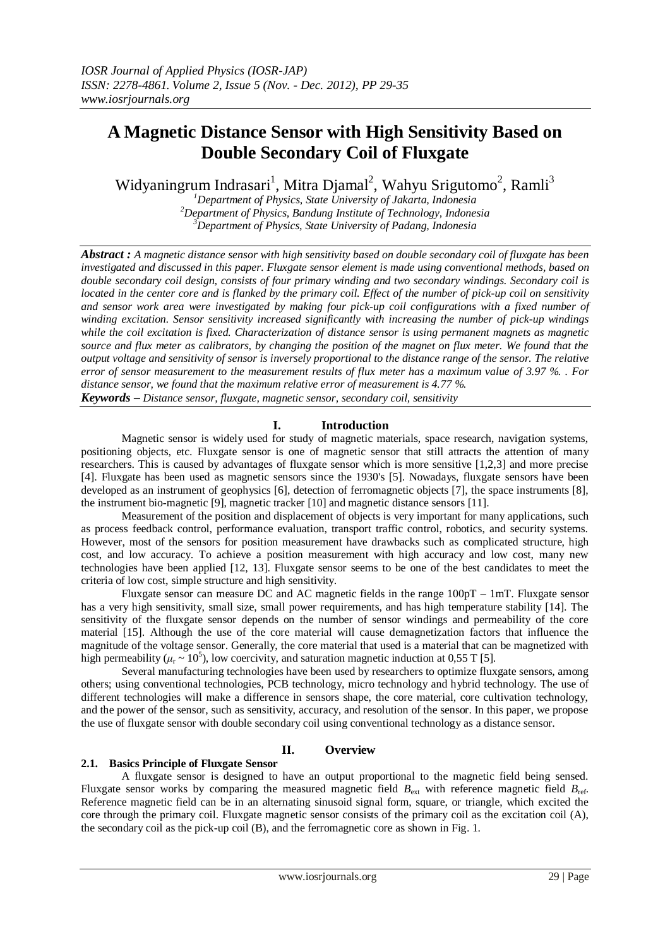# **A Magnetic Distance Sensor with High Sensitivity Based on Double Secondary Coil of Fluxgate**

Widyaningrum Indrasari<sup>1</sup>, Mitra Djamal<sup>2</sup>, Wahyu Srigutomo<sup>2</sup>, Ramli<sup>3</sup>

*<sup>1</sup>Department of Physics, State University of Jakarta, Indonesia <sup>2</sup>Department of Physics, Bandung Institute of Technology, Indonesia <sup>3</sup>Department of Physics, State University of Padang, Indonesia*

*Abstract : A magnetic distance sensor with high sensitivity based on double secondary coil of fluxgate has been investigated and discussed in this paper. Fluxgate sensor element is made using conventional methods, based on double secondary coil design, consists of four primary winding and two secondary windings. Secondary coil is located in the center core and is flanked by the primary coil. Effect of the number of pick-up coil on sensitivity and sensor work area were investigated by making four pick-up coil configurations with a fixed number of winding excitation. Sensor sensitivity increased significantly with increasing the number of pick-up windings while the coil excitation is fixed. Characterization of distance sensor is using permanent magnets as magnetic*  source and flux meter as calibrators, by changing the position of the magnet on flux meter. We found that the *output voltage and sensitivity of sensor is inversely proportional to the distance range of the sensor. The relative error of sensor measurement to the measurement results of flux meter has a maximum value of 3.97 %. . For distance sensor, we found that the maximum relative error of measurement is 4.77 %.*

*Keywords – Distance sensor, fluxgate, magnetic sensor, secondary coil, sensitivity*

# **I. Introduction**

Magnetic sensor is widely used for study of magnetic materials, space research, navigation systems, positioning objects, etc. Fluxgate sensor is one of magnetic sensor that still attracts the attention of many researchers. This is caused by advantages of fluxgate sensor which is more sensitive [1,2,3] and more precise [4]. Fluxgate has been used as magnetic sensors since the 1930's [5]. Nowadays, fluxgate sensors have been developed as an instrument of geophysics [6], detection of ferromagnetic objects [7], the space instruments [8], the instrument bio-magnetic [9], magnetic tracker [10] and magnetic distance sensors [11].

Measurement of the position and displacement of objects is very important for many applications, such as process feedback control, performance evaluation, transport traffic control, robotics, and security systems. However, most of the sensors for position measurement have drawbacks such as complicated structure, high cost, and low accuracy. To achieve a position measurement with high accuracy and low cost, many new technologies have been applied [12, 13]. Fluxgate sensor seems to be one of the best candidates to meet the criteria of low cost, simple structure and high sensitivity.

Fluxgate sensor can measure DC and AC magnetic fields in the range 100pT – 1mT. Fluxgate sensor has a very high sensitivity, small size, small power requirements, and has high temperature stability [14]. The sensitivity of the fluxgate sensor depends on the number of sensor windings and permeability of the core material [15]. Although the use of the core material will cause demagnetization factors that influence the magnitude of the voltage sensor. Generally, the core material that used is a material that can be magnetized with high permeability ( $\mu$ <sub>r</sub> ~ 10<sup>5</sup>), low coercivity, and saturation magnetic induction at 0,55 T [5].

Several manufacturing technologies have been used by researchers to optimize fluxgate sensors, among others; using conventional technologies, PCB technology, micro technology and hybrid technology. The use of different technologies will make a difference in sensors shape, the core material, core cultivation technology, and the power of the sensor, such as sensitivity, accuracy, and resolution of the sensor. In this paper, we propose the use of fluxgate sensor with double secondary coil using conventional technology as a distance sensor.

# **II. Overview**

## **2.1. Basics Principle of Fluxgate Sensor**

A fluxgate sensor is designed to have an output proportional to the magnetic field being sensed. Fluxgate sensor works by comparing the measured magnetic field  $B_{\text{ext}}$  with reference magnetic field  $B_{\text{ref}}$ . Reference magnetic field can be in an alternating sinusoid signal form, square, or triangle, which excited the core through the primary coil. Fluxgate magnetic sensor consists of the primary coil as the excitation coil (A), the secondary coil as the pick-up coil (B), and the ferromagnetic core as shown in Fig. 1.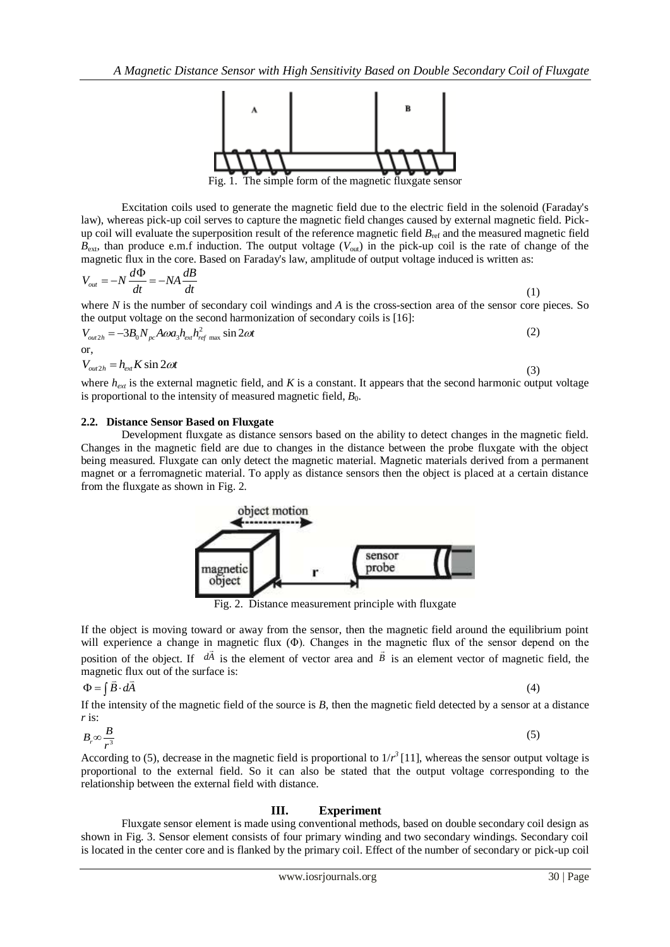

Fig. 1. The simple form of the magnetic fluxgate sensor

Excitation coils used to generate the magnetic field due to the electric field in the solenoid (Faraday's law), whereas pick-up coil serves to capture the magnetic field changes caused by external magnetic field. Pickup coil will evaluate the superposition result of the reference magnetic field  $B_{\text{ref}}$  and the measured magnetic field  $B_{\text{ext}}$ , than produce e.m.f induction. The output voltage ( $V_{\text{out}}$ ) in the pick-up coil is the rate of change of the

magnetic flux in the core. Based on Faraday's law, amplitude of output voltage induced is written as:  
\n
$$
V_{out} = -N \frac{d\Phi}{dt} = -NA \frac{dB}{dt}
$$
\n(1)

where *N* is the number of secondary coil windings and *A* is the cross-section area of the sensor core pieces. So

the output voltage on the second harmonicization of secondary coils is [16]:  
\n
$$
V_{out2h} = -3B_0 N_{pc} A \omega a_3 h_{ext} h_{ref\ max}^2 \sin 2\omega t
$$
\nor,  
\n
$$
V_{out2h} = h_{ext} K \sin 2\omega t
$$
\n(3)

where  $h_{ext}$  is the external magnetic field, and *K* is a constant. It appears that the second harmonic output voltage is proportional to the intensity of measured magnetic field,  $B_0$ .

#### **2.2. Distance Sensor Based on Fluxgate**

Development fluxgate as distance sensors based on the ability to detect changes in the magnetic field. Changes in the magnetic field are due to changes in the distance between the probe fluxgate with the object being measured. Fluxgate can only detect the magnetic material. Magnetic materials derived from a permanent magnet or a ferromagnetic material. To apply as distance sensors then the object is placed at a certain distance from the fluxgate as shown in Fig. 2.



Fig. 2. Distance measurement principle with fluxgate

If the object is moving toward or away from the sensor, then the magnetic field around the equilibrium point will experience a change in magnetic flux (Φ). Changes in the magnetic flux of the sensor depend on the position of the object. If  $d\vec{A}$  is the element of vector area and  $\vec{B}$  is an element vector of magnetic field, the magnetic flux out of the surface is:

$$
\Phi = \int \vec{B} \cdot d\vec{A}
$$

 $(4)$ 

(5)

If the intensity of the magnetic field of the source is *B*, then the magnetic field detected by a sensor at a distance *r* is:

$$
B_r \infty \frac{B}{r^3}
$$

According to (5), decrease in the magnetic field is proportional to  $1/r^3$  [11], whereas the sensor output voltage is proportional to the external field. So it can also be stated that the output voltage corresponding to the relationship between the external field with distance.

## **III. Experiment**

Fluxgate sensor element is made using conventional methods, based on double secondary coil design as shown in Fig. 3. Sensor element consists of four primary winding and two secondary windings. Secondary coil is located in the center core and is flanked by the primary coil. Effect of the number of secondary or pick-up coil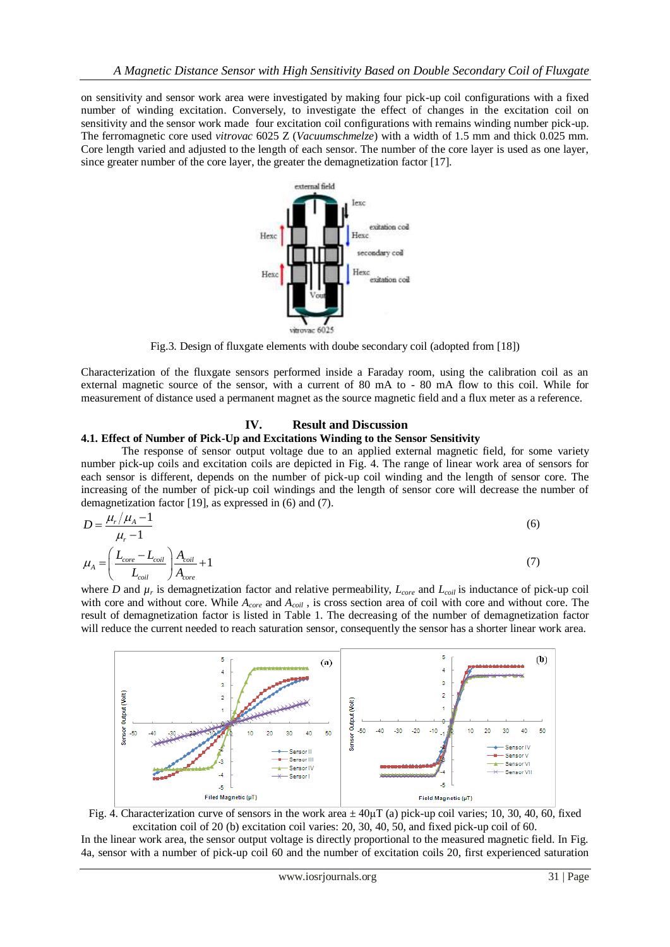on sensitivity and sensor work area were investigated by making four pick-up coil configurations with a fixed number of winding excitation. Conversely, to investigate the effect of changes in the excitation coil on sensitivity and the sensor work made four excitation coil configurations with remains winding number pick-up. The ferromagnetic core used *vitrovac* 6025 Z (*Vacuumschmelze*) with a width of 1.5 mm and thick 0.025 mm. Core length varied and adjusted to the length of each sensor. The number of the core layer is used as one layer, since greater number of the core layer, the greater the demagnetization factor [17].



Fig.3. Design of fluxgate elements with doube secondary coil (adopted from [18])

Characterization of the fluxgate sensors performed inside a Faraday room, using the calibration coil as an external magnetic source of the sensor, with a current of 80 mA to - 80 mA flow to this coil. While for measurement of distance used a permanent magnet as the source magnetic field and a flux meter as a reference.

## **IV. Result and Discussion**

#### **4.1. Effect of Number of Pick-Up and Excitations Winding to the Sensor Sensitivity**

The response of sensor output voltage due to an applied external magnetic field, for some variety number pick-up coils and excitation coils are depicted in Fig. 4. The range of linear work area of sensors for each sensor is different, depends on the number of pick-up coil winding and the length of sensor core. The increasing of the number of pick-up coil windings and the length of sensor core will decrease the number of demagnetization factor [19], as expressed in (6) and (7).

$$
D = \frac{\mu_r / \mu_A - 1}{\mu_r - 1}
$$
  
\n
$$
\mu_A = \left(\frac{L_{core} - L_{coil}}{L_{coil}}\right) \frac{A_{coil}}{A_{core}} + 1
$$
\n(7)

where *D* and  $\mu_r$  is demagnetization factor and relative permeability,  $L_{core}$  and  $L_{coil}$  is inductance of pick-up coil with core and without core. While *Acore* and *Acoil* , is cross section area of coil with core and without core. The result of demagnetization factor is listed in Table 1. The decreasing of the number of demagnetization factor will reduce the current needed to reach saturation sensor, consequently the sensor has a shorter linear work area.





In the linear work area, the sensor output voltage is directly proportional to the measured magnetic field. In Fig. 4a, sensor with a number of pick-up coil 60 and the number of excitation coils 20, first experienced saturation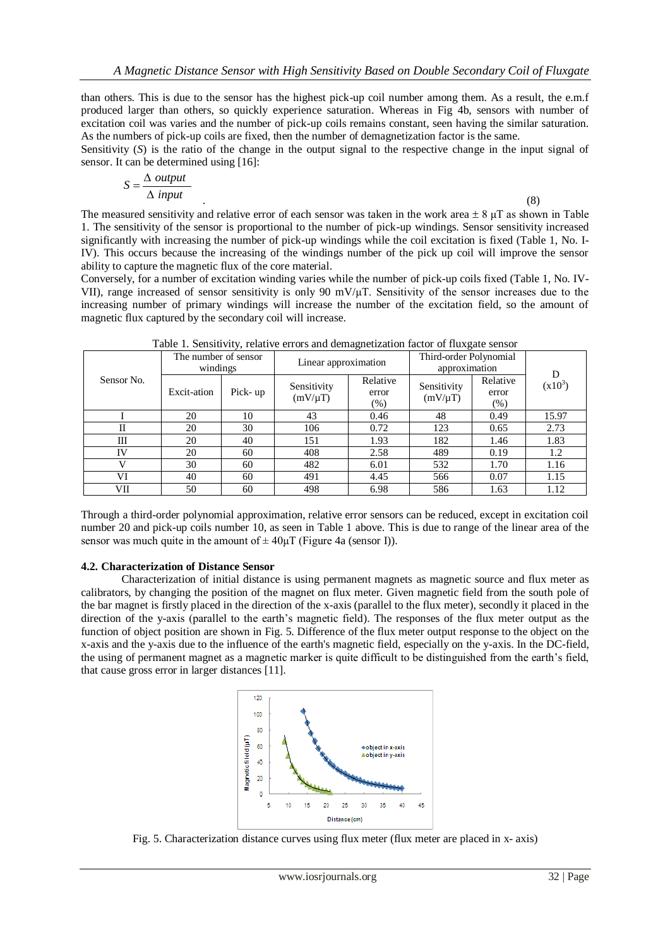than others. This is due to the sensor has the highest pick-up coil number among them. As a result, the e.m.f produced larger than others, so quickly experience saturation. Whereas in Fig 4b, sensors with number of excitation coil was varies and the number of pick-up coils remains constant, seen having the similar saturation. As the numbers of pick-up coils are fixed, then the number of demagnetization factor is the same.

Sensitivity (*S*) is the ratio of the change in the output signal to the respective change in the input signal of sensor. It can be determined using [16]:

$$
S = \frac{\Delta \text{ output}}{\Delta \text{ input}}
$$

.  $\hspace{1.6cm} (8)$ 

The measured sensitivity and relative error of each sensor was taken in the work area  $\pm 8$   $\mu$ T as shown in Table 1. The sensitivity of the sensor is proportional to the number of pick-up windings. Sensor sensitivity increased significantly with increasing the number of pick-up windings while the coil excitation is fixed (Table 1, No. I-IV). This occurs because the increasing of the windings number of the pick up coil will improve the sensor ability to capture the magnetic flux of the core material.

Conversely, for a number of excitation winding varies while the number of pick-up coils fixed (Table 1, No. IV-VII), range increased of sensor sensitivity is only 90 mV/μT. Sensitivity of the sensor increases due to the increasing number of primary windings will increase the number of the excitation field, so the amount of magnetic flux captured by the secondary coil will increase.

| Sensor No. | The number of sensor<br>windings |         | Linear approximation        |                           | Third-order Polynomial<br>approximation |                              | D         |
|------------|----------------------------------|---------|-----------------------------|---------------------------|-----------------------------------------|------------------------------|-----------|
|            | Excit-ation                      | Pick-up | Sensitivity<br>$(mV/\mu T)$ | Relative<br>error<br>(% ) | Sensitivity<br>$(mV/\mu T)$             | Relative<br>error<br>$(\% )$ | $(x10^3)$ |
|            | 20                               | 10      | 43                          | 0.46                      | 48                                      | 0.49                         | 15.97     |
|            | 20                               | 30      | 106                         | 0.72                      | 123                                     | 0.65                         | 2.73      |
| Ш          | 20                               | 40      | 151                         | 1.93                      | 182                                     | 1.46                         | 1.83      |
| IV         | 20                               | 60      | 408                         | 2.58                      | 489                                     | 0.19                         | 1.2       |
| V          | 30                               | 60      | 482                         | 6.01                      | 532                                     | 1.70                         | 1.16      |
| VI         | 40                               | 60      | 491                         | 4.45                      | 566                                     | 0.07                         | 1.15      |
| VІІ        | 50                               | 60      | 498                         | 6.98                      | 586                                     | 1.63                         | 1.12      |

Table 1. Sensitivity, relative errors and demagnetization factor of fluxgate sensor

Through a third-order polynomial approximation, relative error sensors can be reduced, except in excitation coil number 20 and pick-up coils number 10, as seen in Table 1 above. This is due to range of the linear area of the sensor was much quite in the amount of  $\pm 40 \mu T$  (Figure 4a (sensor I)).

## **4.2. Characterization of Distance Sensor**

Characterization of initial distance is using permanent magnets as magnetic source and flux meter as calibrators, by changing the position of the magnet on flux meter. Given magnetic field from the south pole of the bar magnet is firstly placed in the direction of the x-axis (parallel to the flux meter), secondly it placed in the direction of the y-axis (parallel to the earth's magnetic field). The responses of the flux meter output as the function of object position are shown in Fig. 5. Difference of the flux meter output response to the object on the x-axis and the y-axis due to the influence of the earth's magnetic field, especially on the y-axis. In the DC-field, the using of permanent magnet as a magnetic marker is quite difficult to be distinguished from the earth's field, that cause gross error in larger distances [11].



Fig. 5. Characterization distance curves using flux meter (flux meter are placed in x- axis)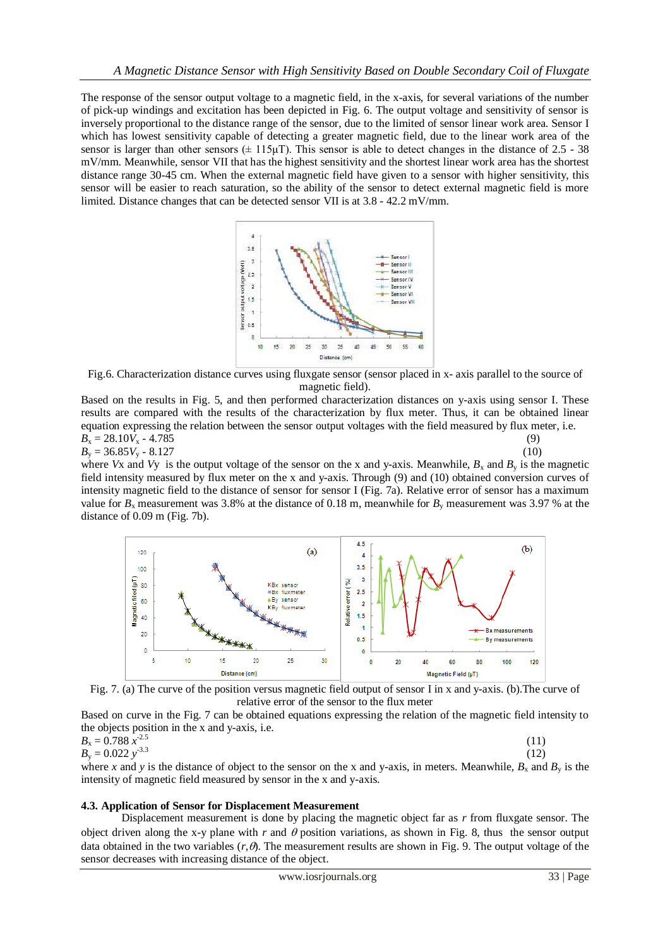The response of the sensor output voltage to a magnetic field, in the x-axis, for several variations of the number of pick-up windings and excitation has been depicted in Fig. 6. The output voltage and sensitivity of sensor is inversely proportional to the distance range of the sensor, due to the limited of sensor linear work area. Sensor I which has lowest sensitivity capable of detecting a greater magnetic field, due to the linear work area of the sensor is larger than other sensors  $(\pm 115\mu\text{T})$ . This sensor is able to detect changes in the distance of 2.5 - 38 mV/mm. Meanwhile, sensor VII that has the highest sensitivity and the shortest linear work area has the shortest distance range 30-45 cm. When the external magnetic field have given to a sensor with higher sensitivity, this sensor will be easier to reach saturation, so the ability of the sensor to detect external magnetic field is more limited. Distance changes that can be detected sensor VII is at 3.8 - 42.2 mV/mm.



Fig.6. Characterization distance curves using fluxgate sensor (sensor placed in x- axis parallel to the source of magnetic field).

Based on the results in Fig. 5, and then performed characterization distances on y-axis using sensor I. These results are compared with the results of the characterization by flux meter. Thus, it can be obtained linear equation expressing the relation between the sensor output voltages with the field measured by flux meter, i.e.<br> $R = 28.10V - 4.785$  (9)

$$
B_x = 28.10V_x - 4.785\tag{9}
$$
  

$$
B_x = 26.85V_x - 8.127\tag{10}
$$

 $B_y = 36.85V_y - 8.127$  (10) where *Vx* and *Vy* is the output voltage of the sensor on the x and y-axis. Meanwhile,  $B_x$  and  $B_y$  is the magnetic field intensity measured by flux meter on the x and y-axis. Through (9) and (10) obtained conversion curves of intensity magnetic field to the distance of sensor for sensor I (Fig. 7a). Relative error of sensor has a maximum value for  $B_x$  measurement was 3.8% at the distance of 0.18 m, meanwhile for  $B_y$  measurement was 3.97 % at the distance of 0.09 m (Fig. 7b).



Fig. 7. (a) The curve of the position versus magnetic field output of sensor I in x and y-axis. (b).The curve of relative error of the sensor to the flux meter

Based on curve in the Fig. 7 can be obtained equations expressing the relation of the magnetic field intensity to the objects position in the x and y-axis, i.e.

$$
B_x = 0.788 \, \bar{x}^{2.5} B_y = 0.022 \, y^{3.3}
$$
 (11)

where *x* and *y* is the distance of object to the sensor on the x and y-axis, in meters. Meanwhile,  $B_x$  and  $B_y$  is the intensity of magnetic field measured by sensor in the x and y-axis.

# **4.3. Application of Sensor for Displacement Measurement**

Displacement measurement is done by placing the magnetic object far as *r* from fluxgate sensor. The object driven along the x-y plane with  $r$  and  $\theta$  position variations, as shown in Fig. 8, thus the sensor output data obtained in the two variables  $(r, \theta)$ . The measurement results are shown in Fig. 9. The output voltage of the sensor decreases with increasing distance of the object.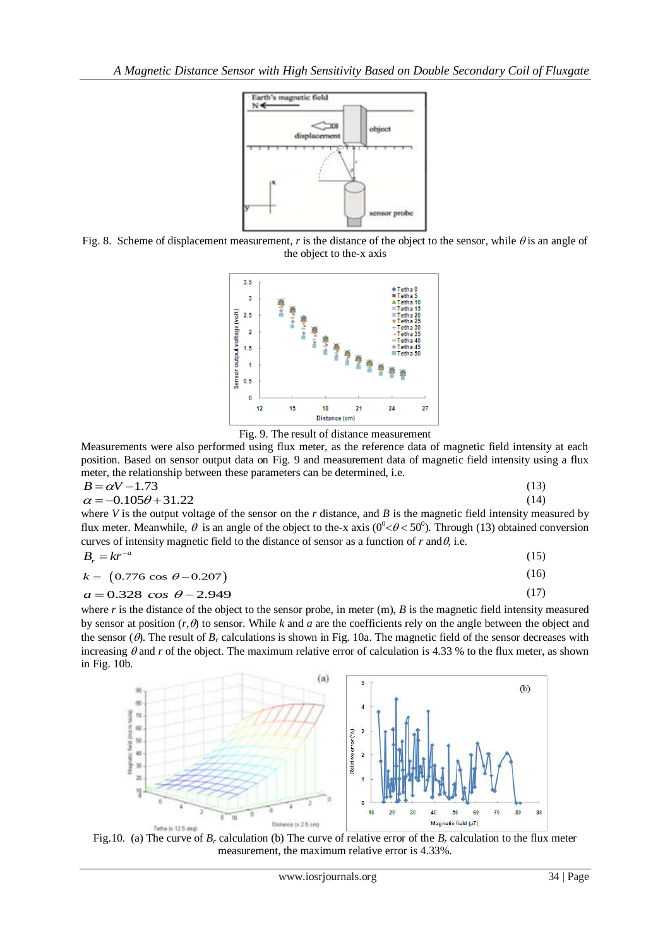

Fig. 8. Scheme of displacement measurement, *r* is the distance of the object to the sensor, while  $\theta$  is an angle of the object to the-x axis



Fig. 9. The result of distance measurement

Measurements were also performed using flux meter, as the reference data of magnetic field intensity at each position. Based on sensor output data on Fig. 9 and measurement data of magnetic field intensity using a flux meter, the relationship between these parameters can be determined, i.e.  $3)$ 

$$
B = \alpha V - 1.73
$$
  
\n
$$
\alpha = -0.105\theta + 31.22
$$
\n(13)

where *V* is the output voltage of the sensor on the *r* distance, and *B* is the magnetic field intensity measured by flux meter. Meanwhile,  $\theta$  is an angle of the object to the-x axis ( $0^{\circ} < \theta < 50^{\circ}$ ). Through (13) obtained conversion curves of intensity magnetic field to the distance of sensor as a function of  $r$  and  $\theta$ , i.e.

$$
B_r = kr^{-a} \tag{15}
$$

$$
k = (0.776 \cos \theta - 0.207) \tag{16}
$$

$$
\kappa = (0.776 \cos \theta - 0.207) \tag{10}
$$
\n
$$
a = 0.328 \cos \theta - 2.949 \tag{17}
$$

where *r* is the distance of the object to the sensor probe, in meter (m), *B* is the magnetic field intensity measured by sensor at position  $(r, \theta)$  to sensor. While k and a are the coefficients rely on the angle between the object and the sensor  $(\theta)$ . The result of  $B_r$  calculations is shown in Fig. 10a. The magnetic field of the sensor decreases with increasing  $\theta$  and *r* of the object. The maximum relative error of calculation is 4.33 % to the flux meter, as shown in Fig. 10b.



Fig.10. (a) The curve of  $B_r$  calculation (b) The curve of relative error of the  $B_r$  calculation to the flux meter measurement, the maximum relative error is 4.33%.